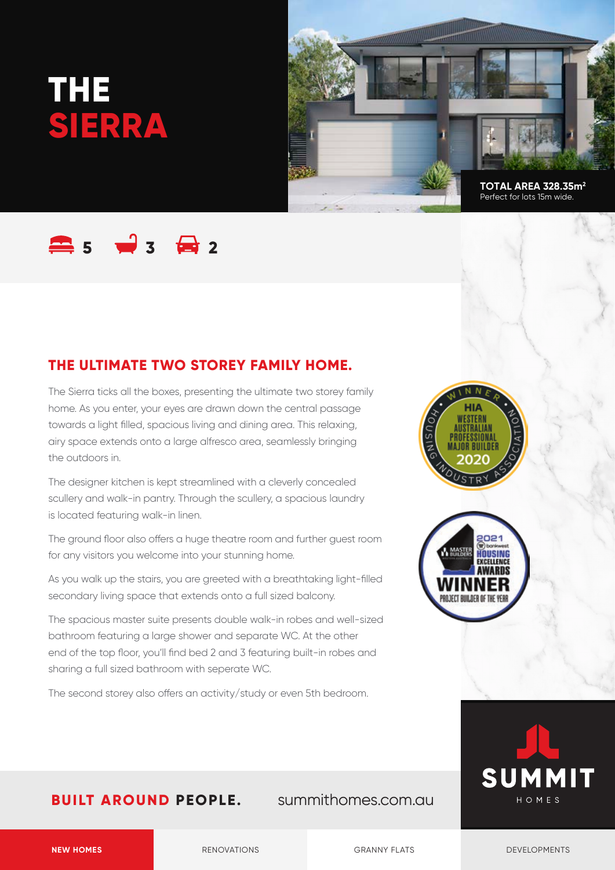# **THE SIERRA**



## **5 3 2**

#### **THE ULTIMATE TWO STOREY FAMILY HOME.**

The Sierra ticks all the boxes, presenting the ultimate two storey family home. As you enter, your eyes are drawn down the central passage towards a light filled, spacious living and dining area. This relaxing, airy space extends onto a large alfresco area, seamlessly bringing the outdoors in.

The designer kitchen is kept streamlined with a cleverly concealed scullery and walk-in pantry. Through the scullery, a spacious laundry is located featuring walk-in linen.

The ground floor also offers a huge theatre room and further guest room for any visitors you welcome into your stunning home.

As you walk up the stairs, you are greeted with a breathtaking light-filled secondary living space that extends onto a full sized balcony.

The spacious master suite presents double walk-in robes and well-sized bathroom featuring a large shower and separate WC. At the other end of the top floor, you'll find bed 2 and 3 featuring built-in robes and sharing a full sized bathroom with seperate WC.

The second storey also offers an activity/study or even 5th bedroom.







#### **BUILT AROUND PEOPLE.** summithomes.com.au

**NEW HOMES** RENOVATIONS RENOVATIONS GRANNY FLATS DEVELOPMENTS